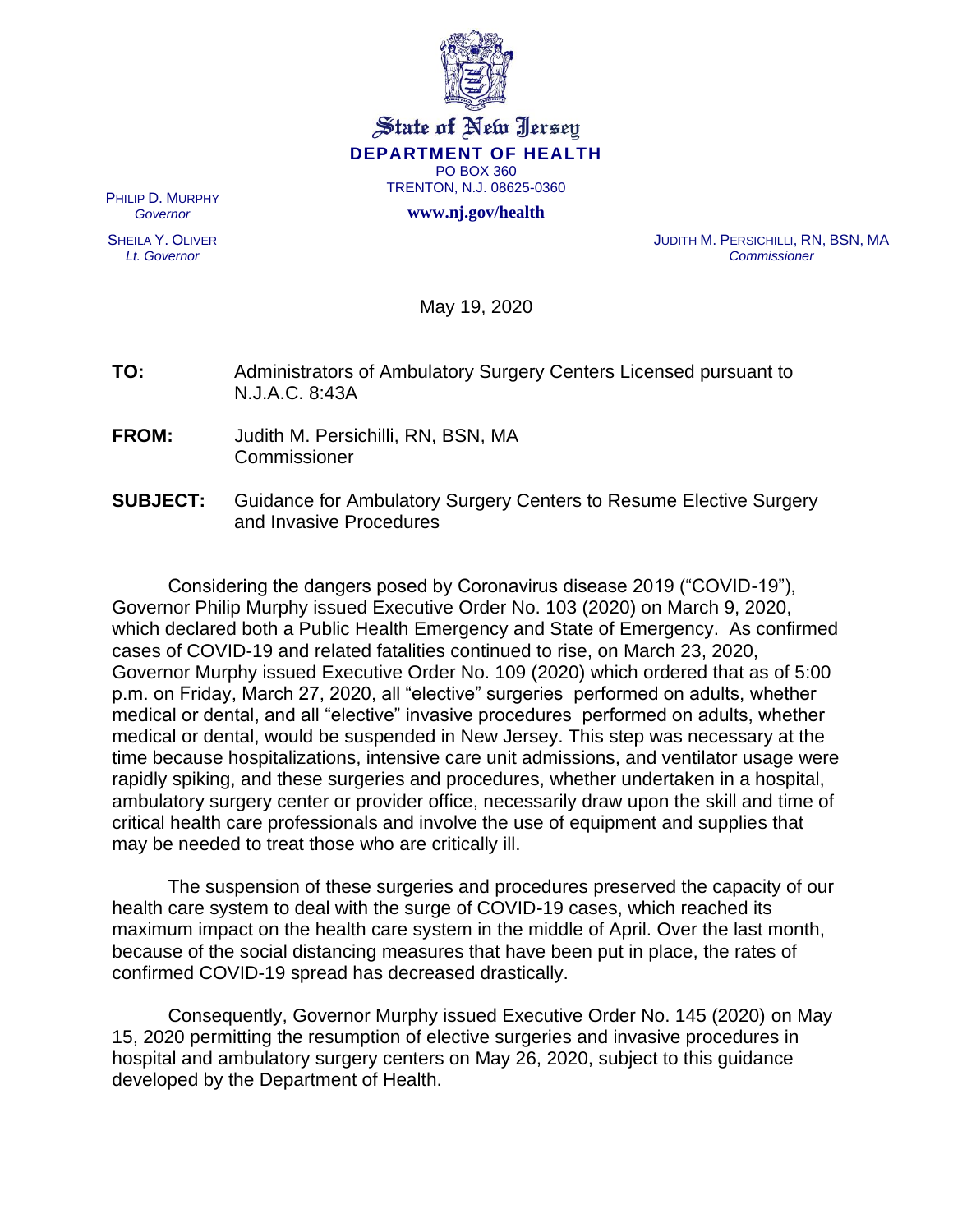

#### State of New Jersey **DEPARTMENT OF HEALTH** PO BOX 360 TRENTON, N.J. 08625-0360

**www.nj.gov/health**

PHILIP D. MURPHY *Governor*

SHEILA Y. OLIVER *Lt. Governor*

JUDITH M. PERSICHILLI, RN, BSN, MA *Commissioner*

May 19, 2020

**TO:** Administrators of Ambulatory Surgery Centers Licensed pursuant to N.J.A.C. 8:43A

- **FROM:** Judith M. Persichilli, RN, BSN, MA Commissioner
- **SUBJECT:** Guidance for Ambulatory Surgery Centers to Resume Elective Surgery and Invasive Procedures

Considering the dangers posed by Coronavirus disease 2019 ("COVID-19"), Governor Philip Murphy issued Executive Order No. 103 (2020) on March 9, 2020, which declared both a Public Health Emergency and State of Emergency. As confirmed cases of COVID-19 and related fatalities continued to rise, on March 23, 2020, Governor Murphy issued Executive Order No. 109 (2020) which ordered that as of 5:00 p.m. on Friday, March 27, 2020, all "elective" surgeries performed on adults, whether medical or dental, and all "elective" invasive procedures performed on adults, whether medical or dental, would be suspended in New Jersey. This step was necessary at the time because hospitalizations, intensive care unit admissions, and ventilator usage were rapidly spiking, and these surgeries and procedures, whether undertaken in a hospital, ambulatory surgery center or provider office, necessarily draw upon the skill and time of critical health care professionals and involve the use of equipment and supplies that may be needed to treat those who are critically ill.

The suspension of these surgeries and procedures preserved the capacity of our health care system to deal with the surge of COVID-19 cases, which reached its maximum impact on the health care system in the middle of April. Over the last month, because of the social distancing measures that have been put in place, the rates of confirmed COVID-19 spread has decreased drastically.

Consequently, Governor Murphy issued Executive Order No. 145 (2020) on May 15, 2020 permitting the resumption of elective surgeries and invasive procedures in hospital and ambulatory surgery centers on May 26, 2020, subject to this guidance developed by the Department of Health.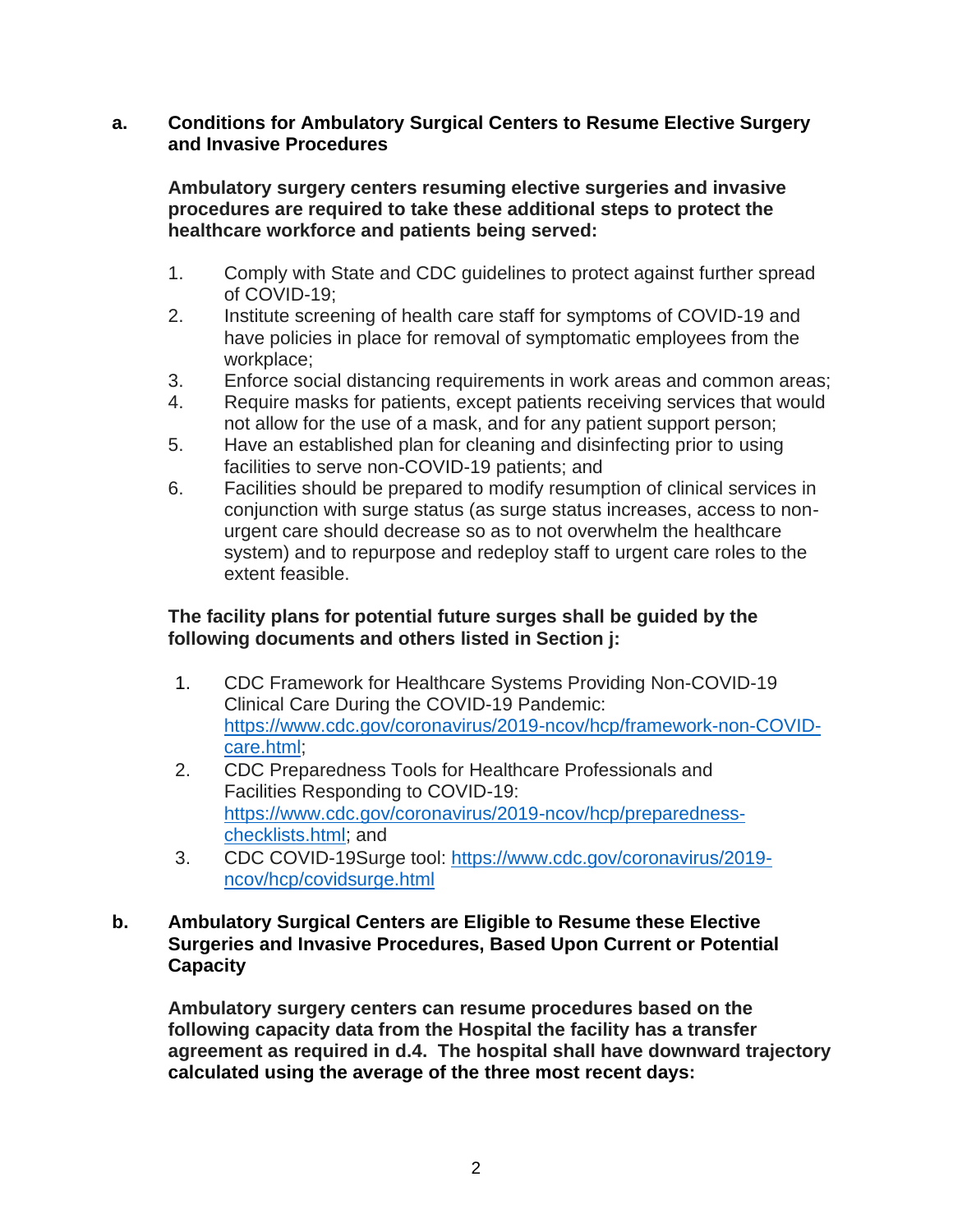#### **a. Conditions for Ambulatory Surgical Centers to Resume Elective Surgery and Invasive Procedures**

**Ambulatory surgery centers resuming elective surgeries and invasive procedures are required to take these additional steps to protect the healthcare workforce and patients being served:**

- 1. Comply with State and CDC guidelines to protect against further spread of COVID-19;
- 2. Institute screening of health care staff for symptoms of COVID-19 and have policies in place for removal of symptomatic employees from the workplace;
- 3. Enforce social distancing requirements in work areas and common areas;
- 4. Require masks for patients, except patients receiving services that would not allow for the use of a mask, and for any patient support person;
- 5. Have an established plan for cleaning and disinfecting prior to using facilities to serve non-COVID-19 patients; and
- 6. Facilities should be prepared to modify resumption of clinical services in conjunction with surge status (as surge status increases, access to nonurgent care should decrease so as to not overwhelm the healthcare system) and to repurpose and redeploy staff to urgent care roles to the extent feasible.

#### **The facility plans for potential future surges shall be guided by the following documents and others listed in Section j:**

- 1. CDC Framework for Healthcare Systems Providing Non-COVID-19 Clinical Care During the COVID-19 Pandemic: [https://www.cdc.gov/coronavirus/2019-ncov/hcp/framework-non-COVID](https://www.cdc.gov/coronavirus/2019-ncov/hcp/framework-non-COVID-care.html)[care.html;](https://www.cdc.gov/coronavirus/2019-ncov/hcp/framework-non-COVID-care.html)
- 2. CDC Preparedness Tools for Healthcare Professionals and Facilities Responding to COVID-19: [https://www.cdc.gov/coronavirus/2019-ncov/hcp/preparedness](https://www.cdc.gov/coronavirus/2019-ncov/hcp/preparedness-checklists.html)[checklists.html;](https://www.cdc.gov/coronavirus/2019-ncov/hcp/preparedness-checklists.html) and
- 3. CDC COVID-19Surge tool: [https://www.cdc.gov/coronavirus/2019](https://www.cdc.gov/coronavirus/2019-ncov/hcp/covidsurge.html) [ncov/hcp/covidsurge.html](https://www.cdc.gov/coronavirus/2019-ncov/hcp/covidsurge.html)

#### **b. Ambulatory Surgical Centers are Eligible to Resume these Elective Surgeries and Invasive Procedures, Based Upon Current or Potential Capacity**

**Ambulatory surgery centers can resume procedures based on the following capacity data from the Hospital the facility has a transfer agreement as required in d.4. The hospital shall have downward trajectory calculated using the average of the three most recent days:**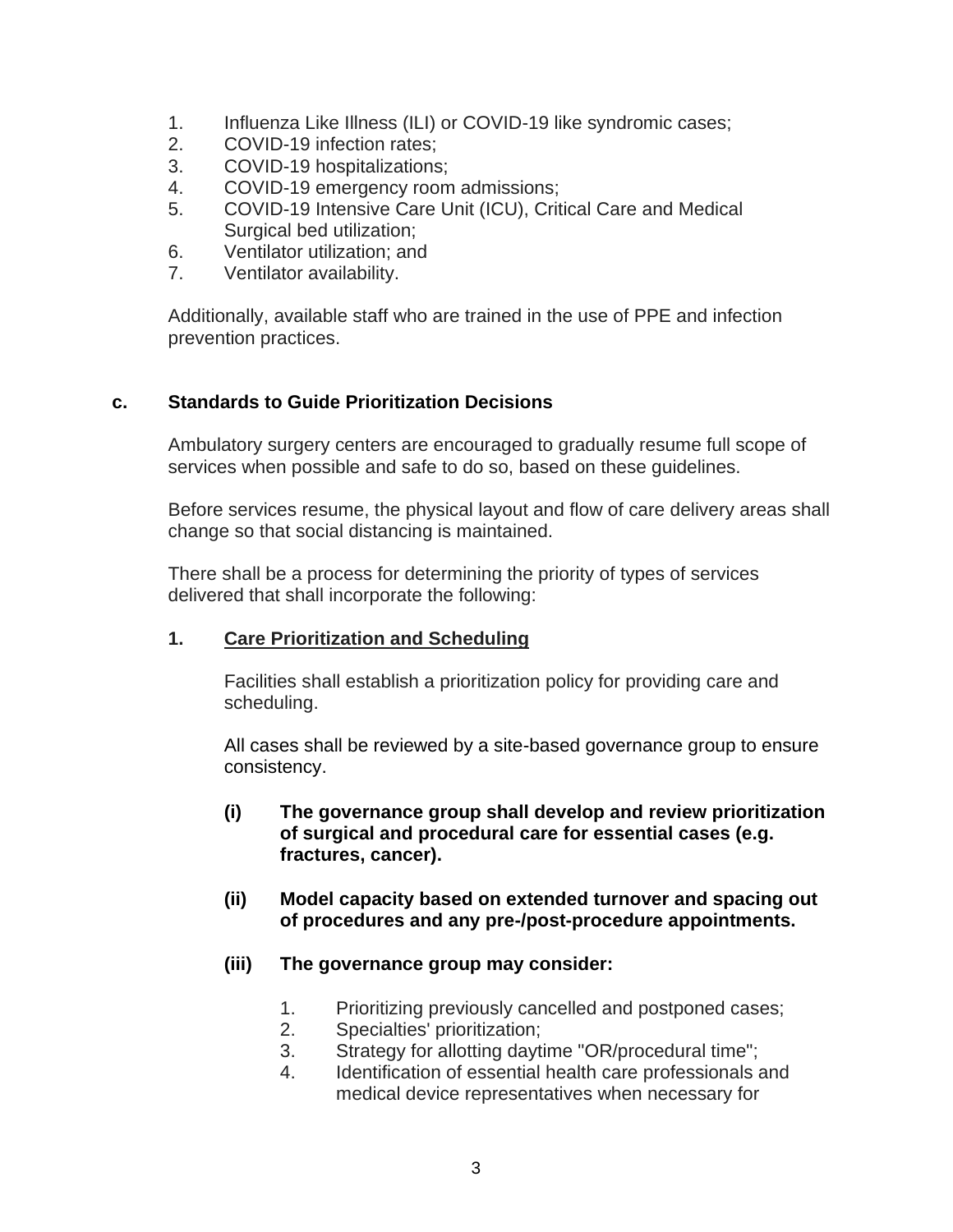- 1. Influenza Like Illness (ILI) or COVID-19 like syndromic cases;
- 2. COVID-19 infection rates;
- 3. COVID-19 hospitalizations;
- 4. COVID-19 emergency room admissions;
- 5. COVID-19 Intensive Care Unit (ICU), Critical Care and Medical Surgical bed utilization;
- 6. Ventilator utilization; and
- 7. Ventilator availability.

Additionally, available staff who are trained in the use of PPE and infection prevention practices.

#### **c. Standards to Guide Prioritization Decisions**

Ambulatory surgery centers are encouraged to gradually resume full scope of services when possible and safe to do so, based on these guidelines.

Before services resume, the physical layout and flow of care delivery areas shall change so that social distancing is maintained.

There shall be a process for determining the priority of types of services delivered that shall incorporate the following:

#### **1. Care Prioritization and Scheduling**

Facilities shall establish a prioritization policy for providing care and scheduling.

All cases shall be reviewed by a site-based governance group to ensure consistency.

- **(i) The governance group shall develop and review prioritization of surgical and procedural care for essential cases (e.g. fractures, cancer).**
- **(ii) Model capacity based on extended turnover and spacing out of procedures and any pre-/post-procedure appointments.**
- **(iii) The governance group may consider:**
	- 1. Prioritizing previously cancelled and postponed cases;
	- 2. Specialties' prioritization;
	- 3. Strategy for allotting daytime "OR/procedural time";
	- 4. Identification of essential health care professionals and medical device representatives when necessary for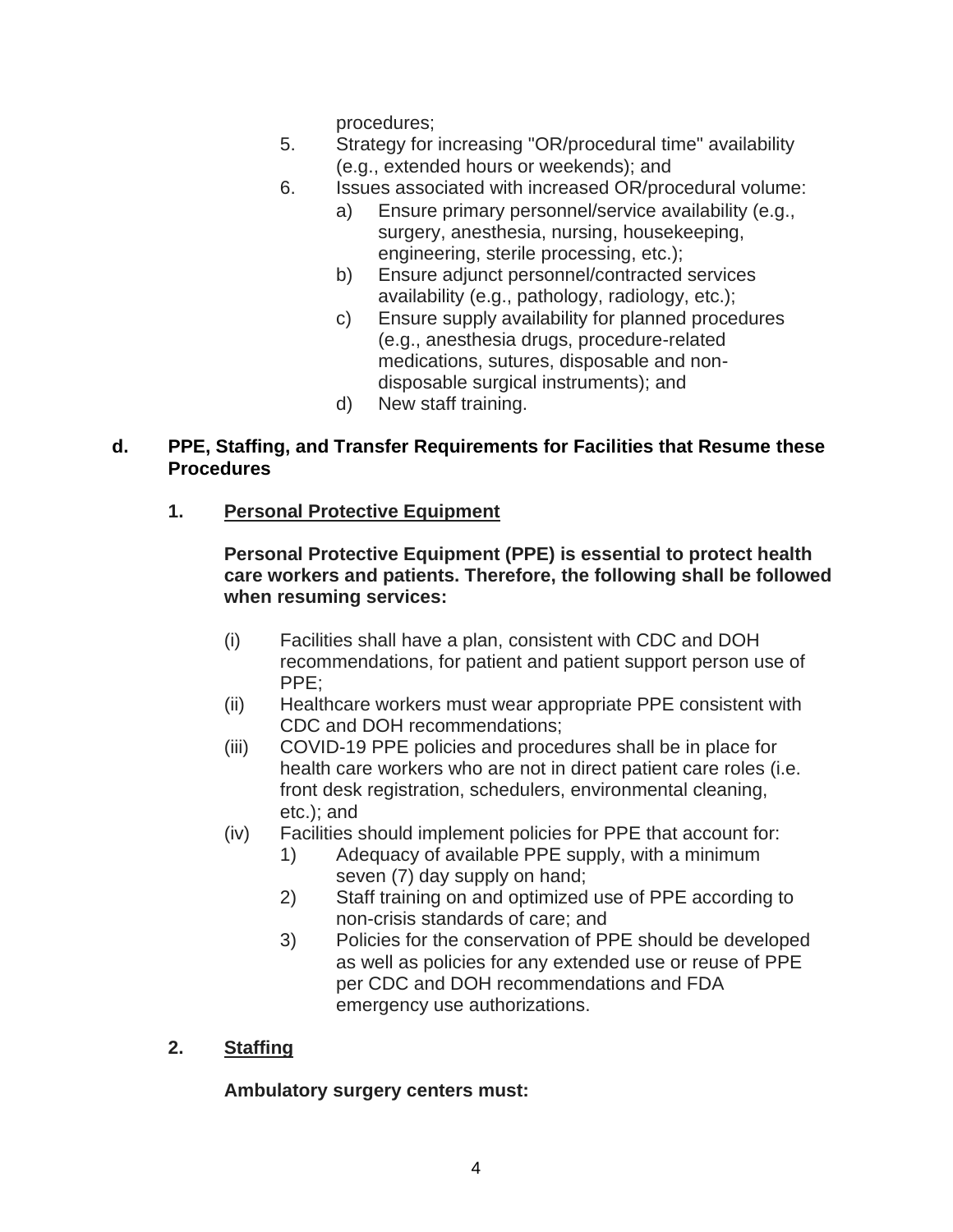procedures;

- 5. Strategy for increasing "OR/procedural time" availability (e.g., extended hours or weekends); and
- 6. Issues associated with increased OR/procedural volume:
	- a) Ensure primary personnel/service availability (e.g., surgery, anesthesia, nursing, housekeeping, engineering, sterile processing, etc.);
	- b) Ensure adjunct personnel/contracted services availability (e.g., pathology, radiology, etc.);
	- c) Ensure supply availability for planned procedures (e.g., anesthesia drugs, procedure-related medications, sutures, disposable and nondisposable surgical instruments); and
	- d) New staff training.

#### **d. PPE, Staffing, and Transfer Requirements for Facilities that Resume these Procedures**

## **1. Personal Protective Equipment**

#### **Personal Protective Equipment (PPE) is essential to protect health care workers and patients. Therefore, the following shall be followed when resuming services:**

- (i) Facilities shall have a plan, consistent with CDC and DOH recommendations, for patient and patient support person use of PPE;
- (ii) Healthcare workers must wear appropriate PPE consistent with CDC and DOH recommendations;
- (iii) COVID-19 PPE policies and procedures shall be in place for health care workers who are not in direct patient care roles (i.e. front desk registration, schedulers, environmental cleaning, etc.); and
- (iv) Facilities should implement policies for PPE that account for:
	- 1) Adequacy of available PPE supply, with a minimum seven (7) day supply on hand;
	- 2) Staff training on and optimized use of PPE according to non-crisis standards of care; and
	- 3) Policies for the conservation of PPE should be developed as well as policies for any extended use or reuse of PPE per CDC and DOH recommendations and FDA emergency use authorizations.
- **2. Staffing**

## **Ambulatory surgery centers must:**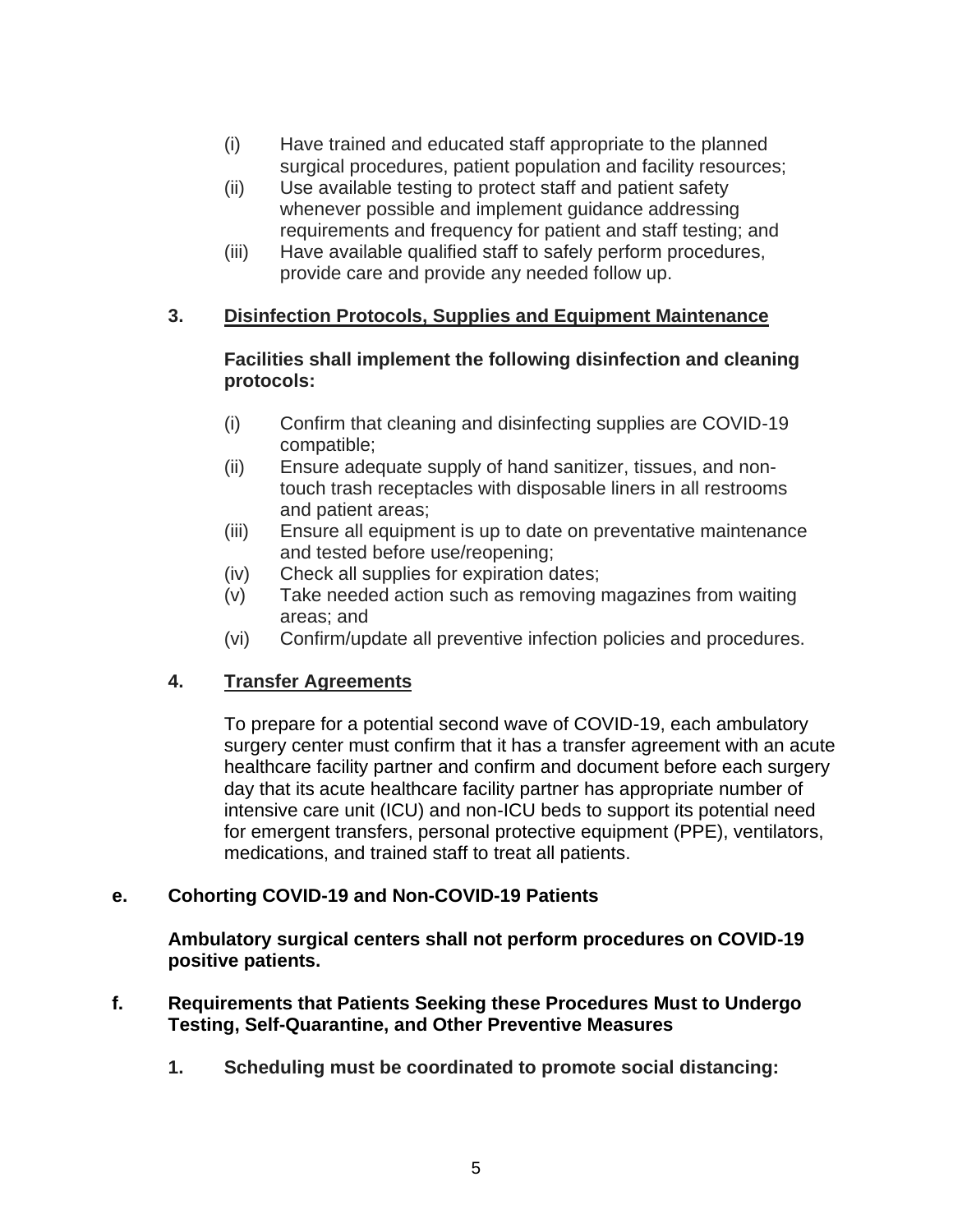- (i) Have trained and educated staff appropriate to the planned surgical procedures, patient population and facility resources;
- (ii) Use available testing to protect staff and patient safety whenever possible and implement guidance addressing requirements and frequency for patient and staff testing; and
- (iii) Have available qualified staff to safely perform procedures, provide care and provide any needed follow up.

#### **3. Disinfection Protocols, Supplies and Equipment Maintenance**

#### **Facilities shall implement the following disinfection and cleaning protocols:**

- (i) Confirm that cleaning and disinfecting supplies are COVID-19 compatible;
- (ii) Ensure adequate supply of hand sanitizer, tissues, and nontouch trash receptacles with disposable liners in all restrooms and patient areas;
- (iii) Ensure all equipment is up to date on preventative maintenance and tested before use/reopening;
- (iv) Check all supplies for expiration dates;
- (v) Take needed action such as removing magazines from waiting areas; and
- (vi) Confirm/update all preventive infection policies and procedures.

## **4. Transfer Agreements**

To prepare for a potential second wave of COVID-19, each ambulatory surgery center must confirm that it has a transfer agreement with an acute healthcare facility partner and confirm and document before each surgery day that its acute healthcare facility partner has appropriate number of intensive care unit (ICU) and non-ICU beds to support its potential need for emergent transfers, personal protective equipment (PPE), ventilators, medications, and trained staff to treat all patients.

## **e. Cohorting COVID-19 and Non-COVID-19 Patients**

**Ambulatory surgical centers shall not perform procedures on COVID-19 positive patients.** 

- **f. Requirements that Patients Seeking these Procedures Must to Undergo Testing, Self-Quarantine, and Other Preventive Measures**
	- **1. Scheduling must be coordinated to promote social distancing:**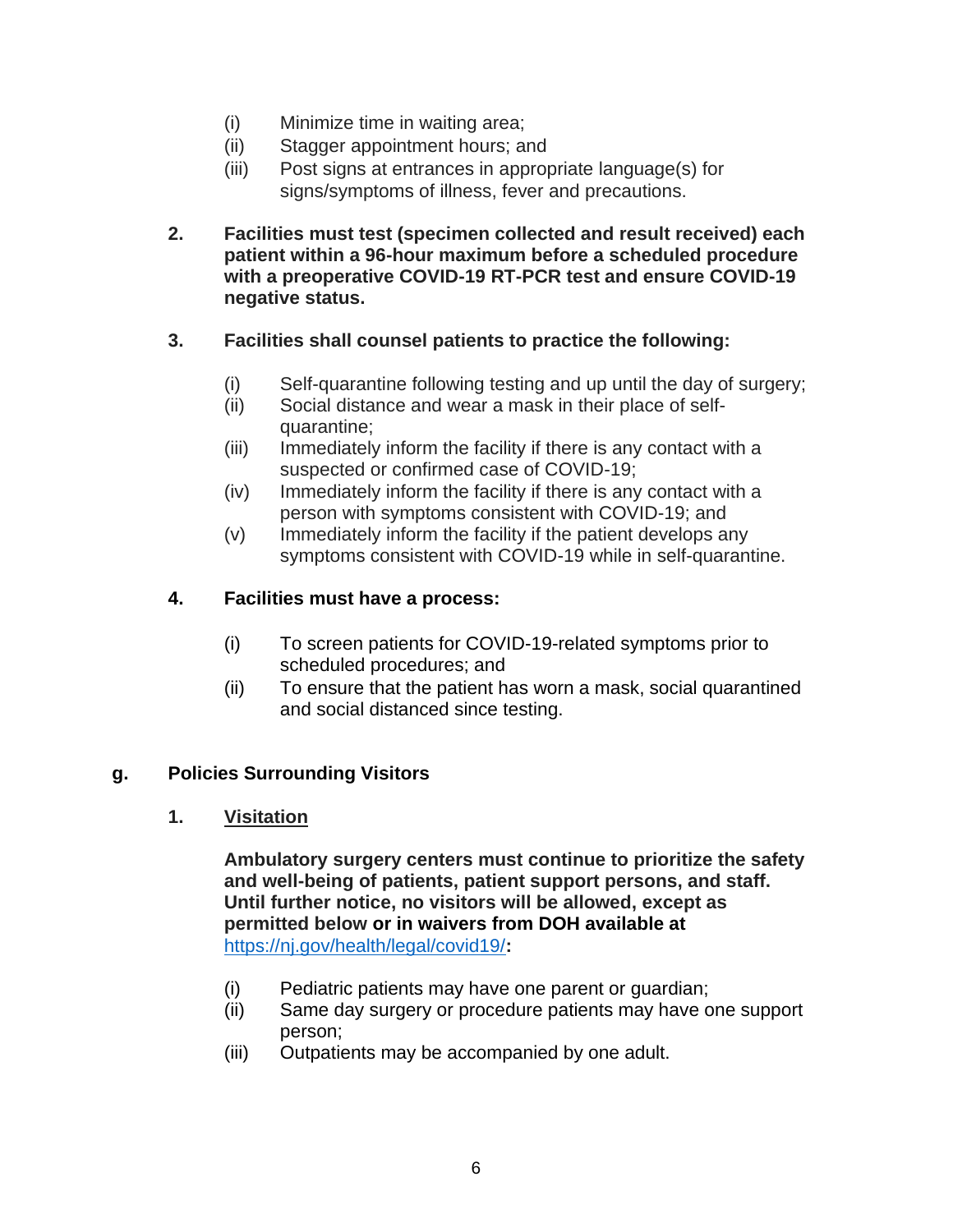- (i) Minimize time in waiting area;
- (ii) Stagger appointment hours; and
- (iii) Post signs at entrances in appropriate language(s) for signs/symptoms of illness, fever and precautions.
- **2. Facilities must test (specimen collected and result received) each patient within a 96-hour maximum before a scheduled procedure with a preoperative COVID-19 RT-PCR test and ensure COVID-19 negative status.**

#### **3. Facilities shall counsel patients to practice the following:**

- (i) Self-quarantine following testing and up until the day of surgery;
- (ii) Social distance and wear a mask in their place of selfquarantine;
- (iii) Immediately inform the facility if there is any contact with a suspected or confirmed case of COVID-19;
- (iv) Immediately inform the facility if there is any contact with a person with symptoms consistent with COVID-19; and
- (v) Immediately inform the facility if the patient develops any symptoms consistent with COVID-19 while in self-quarantine.

#### **4. Facilities must have a process:**

- (i) To screen patients for COVID-19-related symptoms prior to scheduled procedures; and
- (ii) To ensure that the patient has worn a mask, social quarantined and social distanced since testing.

#### **g. Policies Surrounding Visitors**

**1. Visitation**

**Ambulatory surgery centers must continue to prioritize the safety and well-being of patients, patient support persons, and staff. Until further notice, no visitors will be allowed, except as permitted below or in waivers from DOH available at**  <https://nj.gov/health/legal/covid19/>**:**

- (i) Pediatric patients may have one parent or guardian;
- (ii) Same day surgery or procedure patients may have one support person;
- (iii) Outpatients may be accompanied by one adult.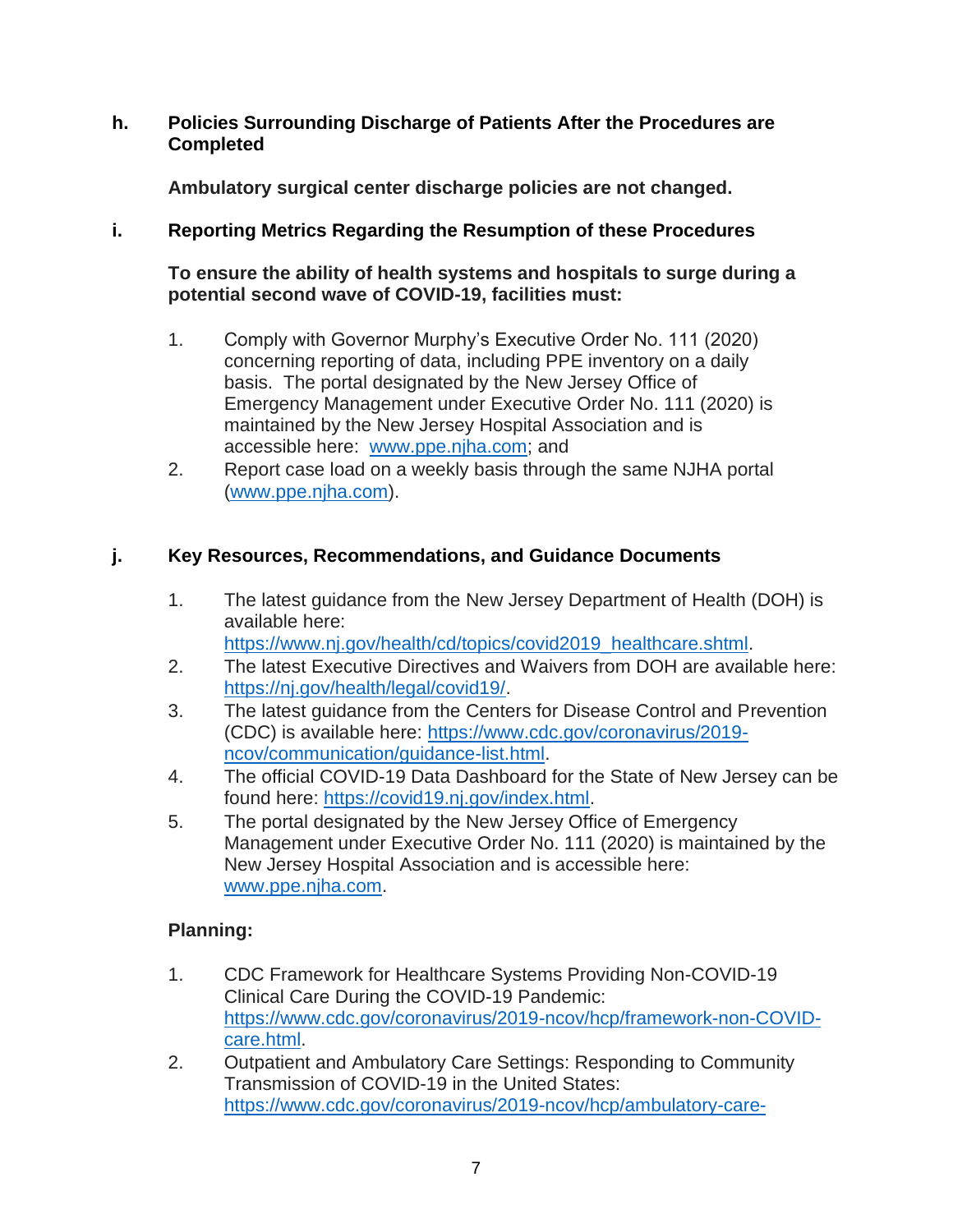#### **h. Policies Surrounding Discharge of Patients After the Procedures are Completed**

**Ambulatory surgical center discharge policies are not changed.**

## **i. Reporting Metrics Regarding the Resumption of these Procedures**

**To ensure the ability of health systems and hospitals to surge during a potential second wave of COVID-19, facilities must:**

- 1. Comply with Governor Murphy's Executive Order No. 111 (2020) concerning reporting of data, including PPE inventory on a daily basis. The portal designated by the New Jersey Office of Emergency Management under Executive Order No. 111 (2020) is maintained by the New Jersey Hospital Association and is accessible here: [www.ppe.njha.com;](http://www.ppe.njha.com/) and
- 2. Report case load on a weekly basis through the same NJHA portal [\(www.ppe.njha.com\)](http://www.ppe.njha.com/).

## **j. Key Resources, Recommendations, and Guidance Documents**

1. The latest guidance from the New Jersey Department of Health (DOH) is available here:

[https://www.nj.gov/health/cd/topics/covid2019\\_healthcare.shtml.](https://www.nj.gov/health/cd/topics/covid2019_healthcare.shtml)

- 2. The latest Executive Directives and Waivers from DOH are available here: [https://nj.gov/health/legal/covid19/.](https://nj.gov/health/legal/covid19/)
- 3. The latest guidance from the Centers for Disease Control and Prevention (CDC) is available here: [https://www.cdc.gov/coronavirus/2019](https://www.cdc.gov/coronavirus/2019-ncov/communication/guidance-list.html) [ncov/communication/guidance-list.html.](https://www.cdc.gov/coronavirus/2019-ncov/communication/guidance-list.html)
- 4. The official COVID-19 Data Dashboard for the State of New Jersey can be found here: [https://covid19.nj.gov/index.html.](https://covid19.nj.gov/index.html)
- 5. The portal designated by the New Jersey Office of Emergency Management under Executive Order No. 111 (2020) is maintained by the New Jersey Hospital Association and is accessible here: [www.ppe.njha.com.](http://www.ppe.njha.com/)

# **Planning:**

- 1. CDC Framework for Healthcare Systems Providing Non-COVID-19 Clinical Care During the COVID-19 Pandemic: [https://www.cdc.gov/coronavirus/2019-ncov/hcp/framework-non-COVID](https://www.cdc.gov/coronavirus/2019-ncov/hcp/framework-non-COVID-care.html)[care.html.](https://www.cdc.gov/coronavirus/2019-ncov/hcp/framework-non-COVID-care.html)
- 2. Outpatient and Ambulatory Care Settings: Responding to Community Transmission of COVID-19 in the United States: [https://www.cdc.gov/coronavirus/2019-ncov/hcp/ambulatory-care-](https://www.cdc.gov/coronavirus/2019-ncov/hcp/ambulatory-care-settings.html)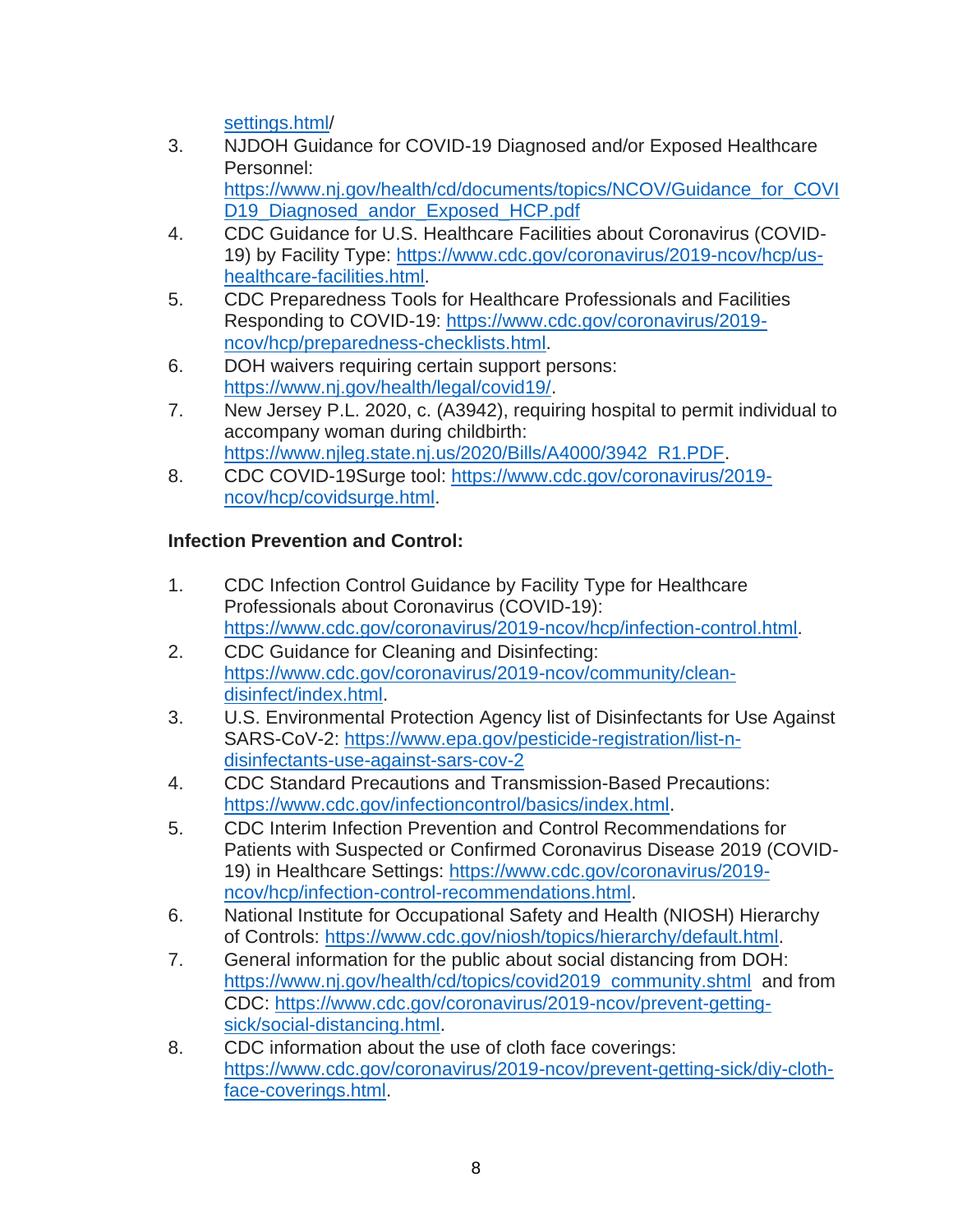[settings.html/](https://www.cdc.gov/coronavirus/2019-ncov/hcp/ambulatory-care-settings.html)

- 3. NJDOH Guidance for COVID-19 Diagnosed and/or Exposed Healthcare Personnel: [https://www.nj.gov/health/cd/documents/topics/NCOV/Guidance\\_for\\_COVI](https://www.nj.gov/health/cd/documents/topics/NCOV/Guidance_for_COVID19_Diagnosed_andor_Exposed_HCP.pdf) D19 Diagnosed andor Exposed HCP.pdf
- 4. CDC Guidance for U.S. Healthcare Facilities about Coronavirus (COVID-19) by Facility Type: [https://www.cdc.gov/coronavirus/2019-ncov/hcp/us](https://www.cdc.gov/coronavirus/2019-ncov/hcp/us-healthcare-facilities.html)[healthcare-facilities.html.](https://www.cdc.gov/coronavirus/2019-ncov/hcp/us-healthcare-facilities.html)
- 5. CDC Preparedness Tools for Healthcare Professionals and Facilities Responding to COVID-19: [https://www.cdc.gov/coronavirus/2019](https://www.cdc.gov/coronavirus/2019-ncov/hcp/preparedness-checklists.html) [ncov/hcp/preparedness-checklists.html.](https://www.cdc.gov/coronavirus/2019-ncov/hcp/preparedness-checklists.html)
- 6. DOH waivers requiring certain support persons: [https://www.nj.gov/health/legal/covid19/.](https://www.nj.gov/health/legal/covid19/)
- 7. New Jersey P.L. 2020, c. (A3942), requiring hospital to permit individual to accompany woman during childbirth: [https://www.njleg.state.nj.us/2020/Bills/A4000/3942\\_R1.PDF.](https://www.njleg.state.nj.us/2020/Bills/A4000/3942_R1.PDF)
- 8. CDC COVID-19Surge tool: [https://www.cdc.gov/coronavirus/2019](https://www.cdc.gov/coronavirus/2019-ncov/hcp/covidsurge.html) [ncov/hcp/covidsurge.html.](https://www.cdc.gov/coronavirus/2019-ncov/hcp/covidsurge.html)

# **Infection Prevention and Control:**

- 1. CDC Infection Control Guidance by Facility Type for Healthcare Professionals about Coronavirus (COVID-19): [https://www.cdc.gov/coronavirus/2019-ncov/hcp/infection-control.html.](https://www.cdc.gov/coronavirus/2019-ncov/hcp/infection-control.html)
- 2. CDC Guidance for Cleaning and Disinfecting: [https://www.cdc.gov/coronavirus/2019-ncov/community/clean](https://www.cdc.gov/coronavirus/2019-ncov/community/clean-disinfect/index.html)[disinfect/index.html.](https://www.cdc.gov/coronavirus/2019-ncov/community/clean-disinfect/index.html)
- 3. U.S. Environmental Protection Agency list of Disinfectants for Use Against SARS-CoV-2: [https://www.epa.gov/pesticide-registration/list-n](https://www.epa.gov/pesticide-registration/list-n-disinfectants-use-against-sars-cov-2)[disinfectants-use-against-sars-cov-2](https://www.epa.gov/pesticide-registration/list-n-disinfectants-use-against-sars-cov-2)
- 4. CDC Standard Precautions and Transmission-Based Precautions: [https://www.cdc.gov/infectioncontrol/basics/index.html.](https://www.cdc.gov/infectioncontrol/basics/index.html)
- 5. CDC Interim Infection Prevention and Control Recommendations for Patients with Suspected or Confirmed Coronavirus Disease 2019 (COVID-19) in Healthcare Settings: [https://www.cdc.gov/coronavirus/2019](https://www.cdc.gov/coronavirus/2019-ncov/hcp/infection-control-recommendations.html) [ncov/hcp/infection-control-recommendations.html.](https://www.cdc.gov/coronavirus/2019-ncov/hcp/infection-control-recommendations.html)
- 6. National Institute for Occupational Safety and Health (NIOSH) Hierarchy of Controls: [https://www.cdc.gov/niosh/topics/hierarchy/default.html.](https://www.cdc.gov/niosh/topics/hierarchy/default.html)
- 7. General information for the public about social distancing from DOH: [https://www.nj.gov/health/cd/topics/covid2019\\_community.shtml](https://www.nj.gov/health/cd/topics/covid2019_community.shtml) and from CDC: [https://www.cdc.gov/coronavirus/2019-ncov/prevent-getting](https://www.cdc.gov/coronavirus/2019-ncov/prevent-getting-sick/social-distancing.html)[sick/social-distancing.html.](https://www.cdc.gov/coronavirus/2019-ncov/prevent-getting-sick/social-distancing.html)
- 8. CDC information about the use of cloth face coverings: [https://www.cdc.gov/coronavirus/2019-ncov/prevent-getting-sick/diy-cloth](https://www.cdc.gov/coronavirus/2019-ncov/prevent-getting-sick/diy-cloth-face-coverings.html)[face-coverings.html.](https://www.cdc.gov/coronavirus/2019-ncov/prevent-getting-sick/diy-cloth-face-coverings.html)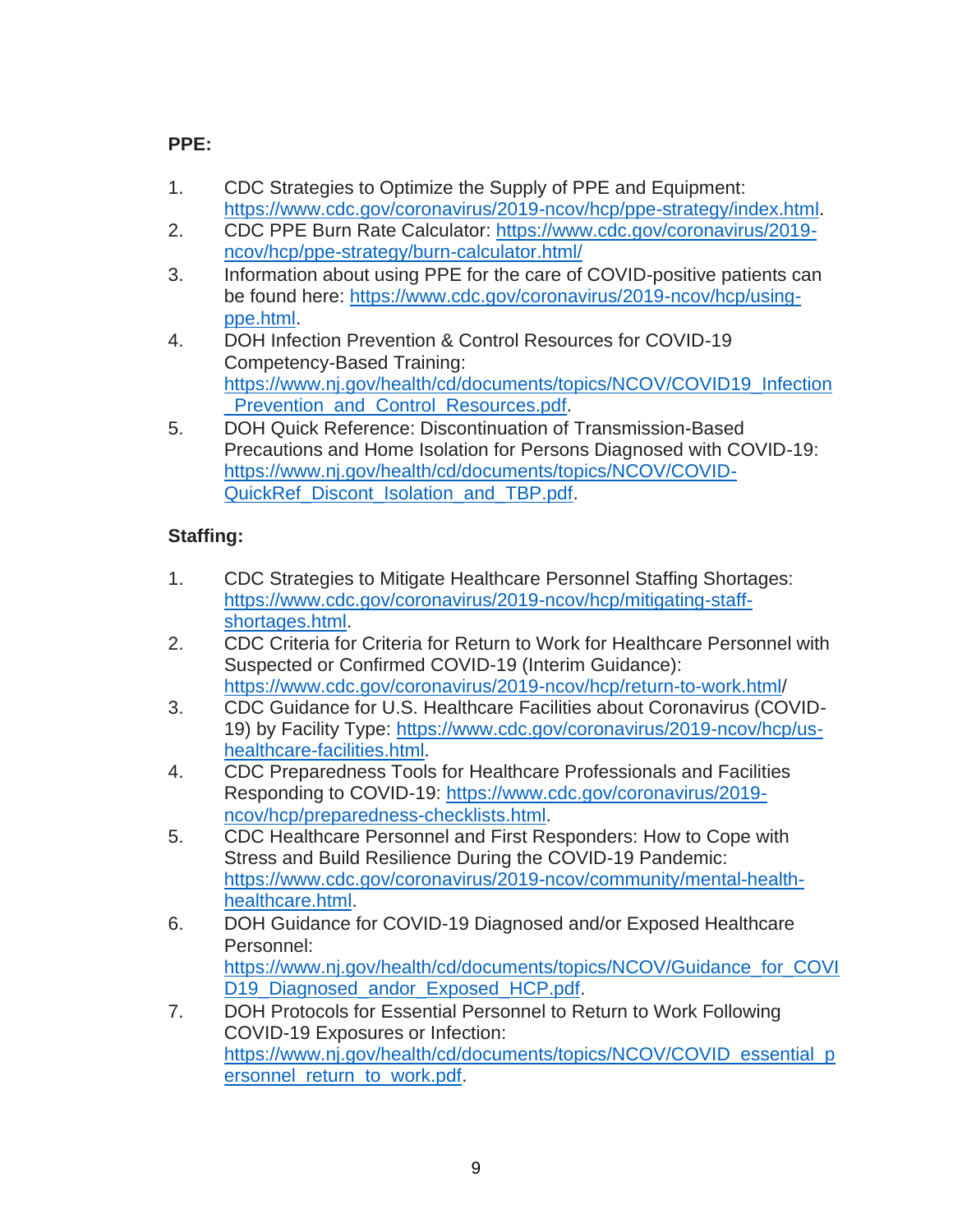# **PPE:**

- 1. CDC Strategies to Optimize the Supply of PPE and Equipment: [https://www.cdc.gov/coronavirus/2019-ncov/hcp/ppe-strategy/index.html.](https://www.cdc.gov/coronavirus/2019-ncov/hcp/ppe-strategy/index.html)
- 2. CDC PPE Burn Rate Calculator: [https://www.cdc.gov/coronavirus/2019](https://www.cdc.gov/coronavirus/2019-ncov/hcp/ppe-strategy/burn-calculator.html/) [ncov/hcp/ppe-strategy/burn-calculator.html/](https://www.cdc.gov/coronavirus/2019-ncov/hcp/ppe-strategy/burn-calculator.html/)
- 3. Information about using PPE for the care of COVID-positive patients can be found here: [https://www.cdc.gov/coronavirus/2019-ncov/hcp/using](https://www.cdc.gov/coronavirus/2019-ncov/hcp/using-ppe.html)[ppe.html.](https://www.cdc.gov/coronavirus/2019-ncov/hcp/using-ppe.html)
- 4. DOH Infection Prevention & Control Resources for COVID-19 Competency-Based Training: [https://www.nj.gov/health/cd/documents/topics/NCOV/COVID19\\_Infection](https://www.nj.gov/health/cd/documents/topics/NCOV/COVID19_Infection_Prevention_and_Control_Resources.pdf) Prevention and Control Resources.pdf.
- 5. DOH Quick Reference: Discontinuation of Transmission-Based Precautions and Home Isolation for Persons Diagnosed with COVID-19: [https://www.nj.gov/health/cd/documents/topics/NCOV/COVID-](https://www.nj.gov/health/cd/documents/topics/NCOV/COVID-QuickRef_Discont_Isolation_and_TBP.pdf)[QuickRef\\_Discont\\_Isolation\\_and\\_TBP.pdf.](https://www.nj.gov/health/cd/documents/topics/NCOV/COVID-QuickRef_Discont_Isolation_and_TBP.pdf)

# **Staffing:**

- 1. CDC Strategies to Mitigate Healthcare Personnel Staffing Shortages: [https://www.cdc.gov/coronavirus/2019-ncov/hcp/mitigating-staff](https://www.cdc.gov/coronavirus/2019-ncov/hcp/mitigating-staff-shortages.html)[shortages.html.](https://www.cdc.gov/coronavirus/2019-ncov/hcp/mitigating-staff-shortages.html)
- 2. CDC Criteria for Criteria for Return to Work for Healthcare Personnel with Suspected or Confirmed COVID-19 (Interim Guidance): [https://www.cdc.gov/coronavirus/2019-ncov/hcp/return-to-work.html/](https://www.cdc.gov/coronavirus/2019-ncov/hcp/return-to-work.html)
- 3. CDC Guidance for U.S. Healthcare Facilities about Coronavirus (COVID-19) by Facility Type: [https://www.cdc.gov/coronavirus/2019-ncov/hcp/us](https://www.cdc.gov/coronavirus/2019-ncov/hcp/us-healthcare-facilities.html)[healthcare-facilities.html.](https://www.cdc.gov/coronavirus/2019-ncov/hcp/us-healthcare-facilities.html)
- 4. CDC Preparedness Tools for Healthcare Professionals and Facilities Responding to COVID-19: [https://www.cdc.gov/coronavirus/2019](https://www.cdc.gov/coronavirus/2019-ncov/hcp/preparedness-checklists.html) [ncov/hcp/preparedness-checklists.html.](https://www.cdc.gov/coronavirus/2019-ncov/hcp/preparedness-checklists.html)
- 5. CDC Healthcare Personnel and First Responders: How to Cope with Stress and Build Resilience During the COVID-19 Pandemic: [https://www.cdc.gov/coronavirus/2019-ncov/community/mental-health](https://www.cdc.gov/coronavirus/2019-ncov/community/mental-health-healthcare.html)[healthcare.html.](https://www.cdc.gov/coronavirus/2019-ncov/community/mental-health-healthcare.html)
- 6. DOH Guidance for COVID-19 Diagnosed and/or Exposed Healthcare Personnel: [https://www.nj.gov/health/cd/documents/topics/NCOV/Guidance\\_for\\_COVI](https://www.nj.gov/health/cd/documents/topics/NCOV/Guidance_for_COVID19_Diagnosed_andor_Exposed_HCP.pdf) D19 Diagnosed andor Exposed HCP.pdf.
- 7. DOH Protocols for Essential Personnel to Return to Work Following COVID-19 Exposures or Infection: [https://www.nj.gov/health/cd/documents/topics/NCOV/COVID\\_essential\\_p](https://www.nj.gov/health/cd/documents/topics/NCOV/COVID_essential_personnel_return_to_work.pdf) [ersonnel\\_return\\_to\\_work.pdf.](https://www.nj.gov/health/cd/documents/topics/NCOV/COVID_essential_personnel_return_to_work.pdf)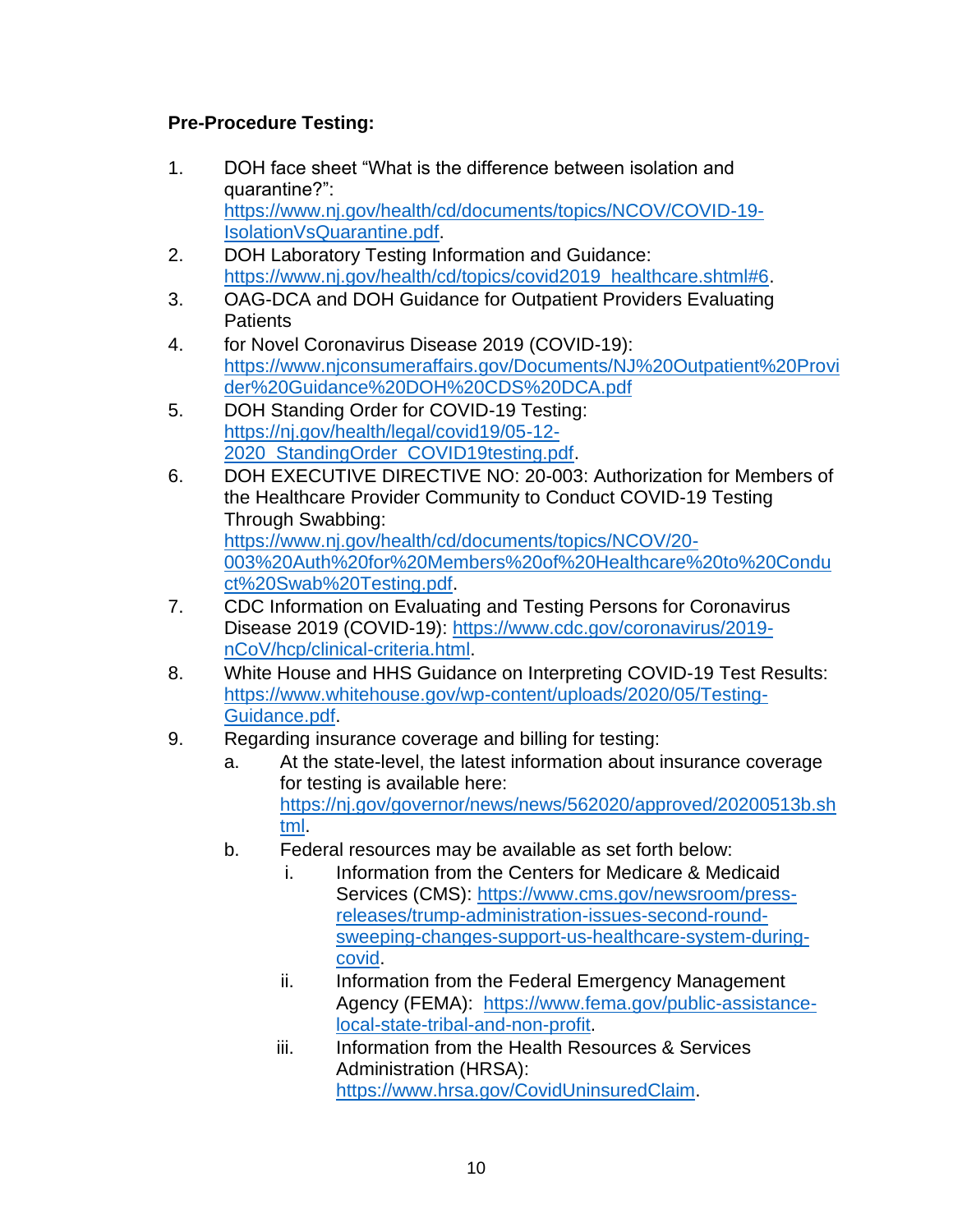# **Pre-Procedure Testing:**

- 1. DOH face sheet "What is the difference between isolation and quarantine?": [https://www.nj.gov/health/cd/documents/topics/NCOV/COVID-19-](https://www.nj.gov/health/cd/documents/topics/NCOV/COVID-19-IsolationVsQuarantine.pdf) [IsolationVsQuarantine.pdf.](https://www.nj.gov/health/cd/documents/topics/NCOV/COVID-19-IsolationVsQuarantine.pdf)
- 2. DOH Laboratory Testing Information and Guidance: [https://www.nj.gov/health/cd/topics/covid2019\\_healthcare.shtml#6.](https://www.nj.gov/health/cd/topics/covid2019_healthcare.shtml#6)
- 3. OAG-DCA and DOH Guidance for Outpatient Providers Evaluating Patients
- 4. for Novel Coronavirus Disease 2019 (COVID-19): [https://www.njconsumeraffairs.gov/Documents/NJ%20Outpatient%20Provi](https://www.njconsumeraffairs.gov/Documents/NJ%20Outpatient%20Provider%20Guidance%20DOH%20CDS%20DCA.pdf) [der%20Guidance%20DOH%20CDS%20DCA.pdf](https://www.njconsumeraffairs.gov/Documents/NJ%20Outpatient%20Provider%20Guidance%20DOH%20CDS%20DCA.pdf)
- 5. DOH Standing Order for COVID-19 Testing: [https://nj.gov/health/legal/covid19/05-12-](https://nj.gov/health/legal/covid19/05-12-2020_StandingOrder_COVID19testing.pdf) 2020 StandingOrder COVID19testing.pdf.
- 6. DOH EXECUTIVE DIRECTIVE NO: 20-003: Authorization for Members of the Healthcare Provider Community to Conduct COVID-19 Testing Through Swabbing: [https://www.nj.gov/health/cd/documents/topics/NCOV/20-](https://www.nj.gov/health/cd/documents/topics/NCOV/20-003%20Auth%20for%20Members%20of%20Healthcare%20to%20Conduct%20Swab%20Testing.pdf) [003%20Auth%20for%20Members%20of%20Healthcare%20to%20Condu](https://www.nj.gov/health/cd/documents/topics/NCOV/20-003%20Auth%20for%20Members%20of%20Healthcare%20to%20Conduct%20Swab%20Testing.pdf) [ct%20Swab%20Testing.pdf.](https://www.nj.gov/health/cd/documents/topics/NCOV/20-003%20Auth%20for%20Members%20of%20Healthcare%20to%20Conduct%20Swab%20Testing.pdf)
- 7. CDC Information on Evaluating and Testing Persons for Coronavirus Disease 2019 (COVID-19): [https://www.cdc.gov/coronavirus/2019](https://www.cdc.gov/coronavirus/2019-nCoV/hcp/clinical-criteria.html) [nCoV/hcp/clinical-criteria.html.](https://www.cdc.gov/coronavirus/2019-nCoV/hcp/clinical-criteria.html)
- 8. White House and HHS Guidance on Interpreting COVID-19 Test Results: [https://www.whitehouse.gov/wp-content/uploads/2020/05/Testing-](https://www.whitehouse.gov/wp-content/uploads/2020/05/Testing-Guidance.pdf)[Guidance.pdf.](https://www.whitehouse.gov/wp-content/uploads/2020/05/Testing-Guidance.pdf)
- 9. Regarding insurance coverage and billing for testing:
	- a. At the state-level, the latest information about insurance coverage for testing is available here: [https://nj.gov/governor/news/news/562020/approved/20200513b.sh](https://nj.gov/governor/news/news/562020/approved/20200513b.shtml) [tml.](https://nj.gov/governor/news/news/562020/approved/20200513b.shtml)
	- b. Federal resources may be available as set forth below:
		- i. Information from the Centers for Medicare & Medicaid Services (CMS): [https://www.cms.gov/newsroom/press](https://www.cms.gov/newsroom/press-releases/trump-administration-issues-second-round-sweeping-changes-support-us-healthcare-system-during-covid)[releases/trump-administration-issues-second-round](https://www.cms.gov/newsroom/press-releases/trump-administration-issues-second-round-sweeping-changes-support-us-healthcare-system-during-covid)[sweeping-changes-support-us-healthcare-system-during](https://www.cms.gov/newsroom/press-releases/trump-administration-issues-second-round-sweeping-changes-support-us-healthcare-system-during-covid)[covid.](https://www.cms.gov/newsroom/press-releases/trump-administration-issues-second-round-sweeping-changes-support-us-healthcare-system-during-covid)
		- ii. Information from the Federal Emergency Management Agency (FEMA): [https://www.fema.gov/public-assistance](https://www.fema.gov/public-assistance-local-state-tribal-and-non-profit)[local-state-tribal-and-non-profit.](https://www.fema.gov/public-assistance-local-state-tribal-and-non-profit)
		- iii. Information from the Health Resources & Services Administration (HRSA): [https://www.hrsa.gov/CovidUninsuredClaim.](https://www.hrsa.gov/CovidUninsuredClaim)